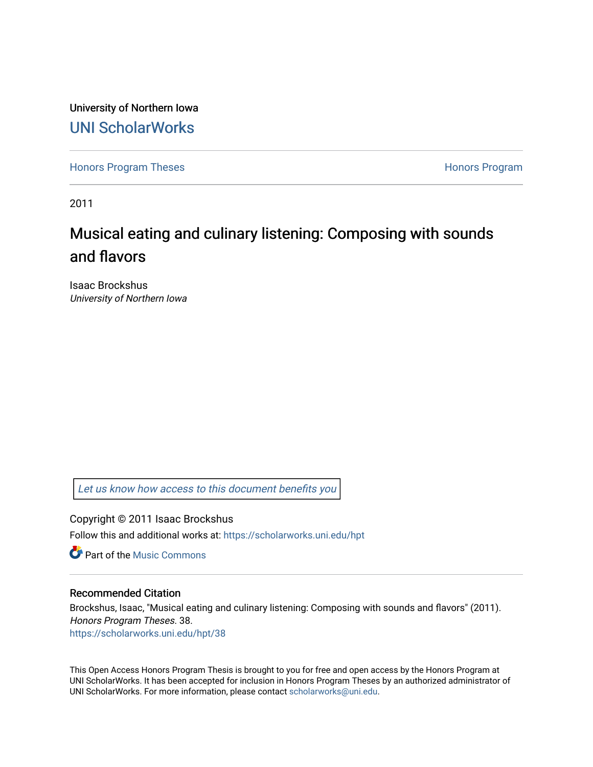University of Northern Iowa [UNI ScholarWorks](https://scholarworks.uni.edu/) 

[Honors Program Theses](https://scholarworks.uni.edu/hpt) **Honors Program** Honors Program

2011

## Musical eating and culinary listening: Composing with sounds and flavors

Isaac Brockshus University of Northern Iowa

[Let us know how access to this document benefits you](https://scholarworks.uni.edu/feedback_form.html) 

Copyright © 2011 Isaac Brockshus Follow this and additional works at: [https://scholarworks.uni.edu/hpt](https://scholarworks.uni.edu/hpt?utm_source=scholarworks.uni.edu%2Fhpt%2F38&utm_medium=PDF&utm_campaign=PDFCoverPages) 

**C** Part of the Music Commons

## Recommended Citation

Brockshus, Isaac, "Musical eating and culinary listening: Composing with sounds and flavors" (2011). Honors Program Theses. 38. [https://scholarworks.uni.edu/hpt/38](https://scholarworks.uni.edu/hpt/38?utm_source=scholarworks.uni.edu%2Fhpt%2F38&utm_medium=PDF&utm_campaign=PDFCoverPages)

This Open Access Honors Program Thesis is brought to you for free and open access by the Honors Program at UNI ScholarWorks. It has been accepted for inclusion in Honors Program Theses by an authorized administrator of UNI ScholarWorks. For more information, please contact [scholarworks@uni.edu.](mailto:scholarworks@uni.edu)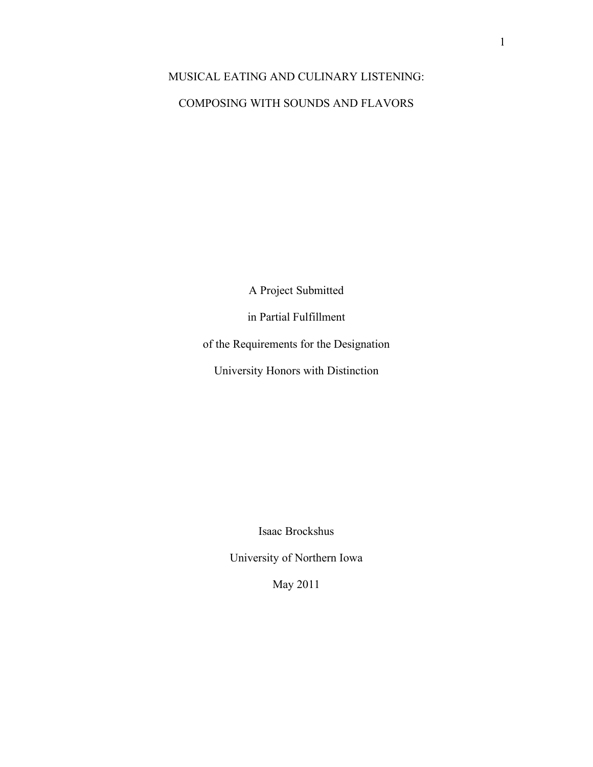## MUSICAL EATING AND CULINARY LISTENING: COMPOSING WITH SOUNDS AND FLAVORS

A Project Submitted

in Partial Fulfillment

of the Requirements for the Designation

University Honors with Distinction

Isaac Brockshus

University of Northern Iowa

May 2011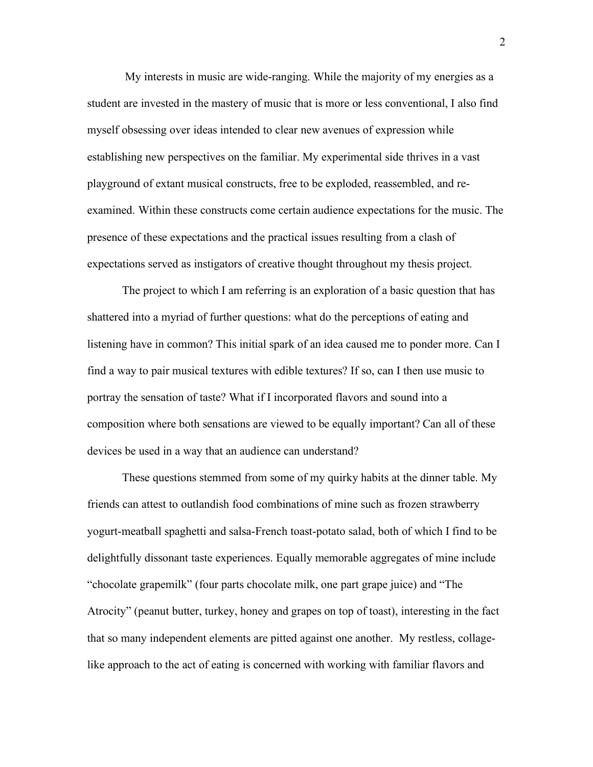My interests in music are wide-ranging. While the majority of my energies as a student are invested in the mastery of music that is more or less conventional, I also find myself obsessing over ideas intended to clear new avenues of expression while establishing new perspectives on the familiar. My experimental side thrives in a vast playground of extant musical constructs, free to be exploded, reassembled, and reexamined. Within these constructs come certain audience expectations for the music. The presence of these expectations and the practical issues resulting from a clash of expectations served as instigators of creative thought throughout my thesis project.

The project to which I am referring is an exploration of a basic question that has shattered into a myriad of further questions: what do the perceptions of eating and listening have in common? This initial spark of an idea caused me to ponder more. Can I find a way to pair musical textures with edible textures? If so, can I then use music to portray the sensation of taste? What if I incorporated flavors and sound into a composition where both sensations are viewed to be equally important? Can all of these devices be used in a way that an audience can understand?

These questions stemmed from some of my quirky habits at the dinner table. My friends can attest to outlandish food combinations of mine such as frozen strawberry yogurt-meatball spaghetti and salsa-French toast-potato salad, both of which I find to be delightfully dissonant taste experiences. Equally memorable aggregates of mine include "chocolate grapemilk" (four parts chocolate milk, one part grape juice) and "The Atrocity" (peanut butter, turkey, honey and grapes on top of toast), interesting in the fact that so many independent elements are pitted against one another. My restless, collagelike approach to the act of eating is concerned with working with familiar flavors and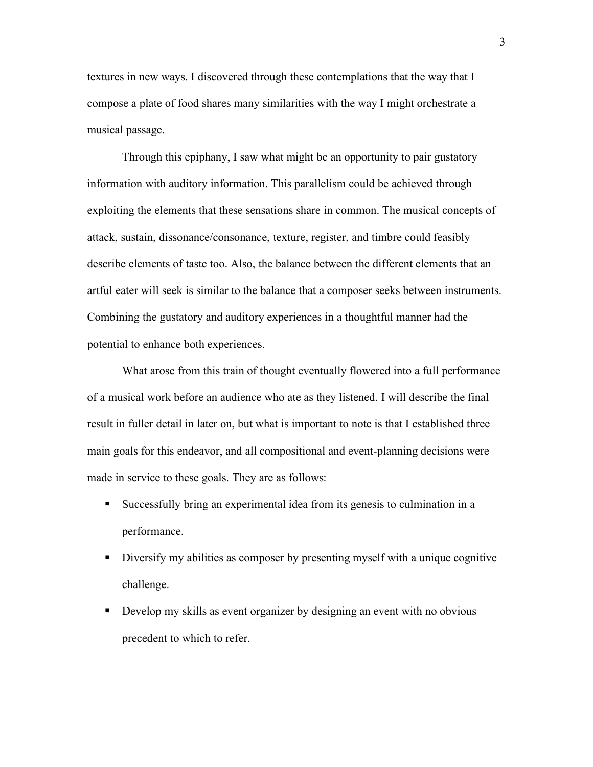textures in new ways. I discovered through these contemplations that the way that I compose a plate of food shares many similarities with the way I might orchestrate a musical passage.

Through this epiphany, I saw what might be an opportunity to pair gustatory information with auditory information. This parallelism could be achieved through exploiting the elements that these sensations share in common. The musical concepts of attack, sustain, dissonance/consonance, texture, register, and timbre could feasibly describe elements of taste too. Also, the balance between the different elements that an artful eater will seek is similar to the balance that a composer seeks between instruments. Combining the gustatory and auditory experiences in a thoughtful manner had the potential to enhance both experiences.

What arose from this train of thought eventually flowered into a full performance of a musical work before an audience who ate as they listened. I will describe the final result in fuller detail in later on, but what is important to note is that I established three main goals for this endeavor, and all compositional and event-planning decisions were made in service to these goals. They are as follows:

- Successfully bring an experimental idea from its genesis to culmination in a performance.
- Diversify my abilities as composer by presenting myself with a unique cognitive challenge.
- Develop my skills as event organizer by designing an event with no obvious precedent to which to refer.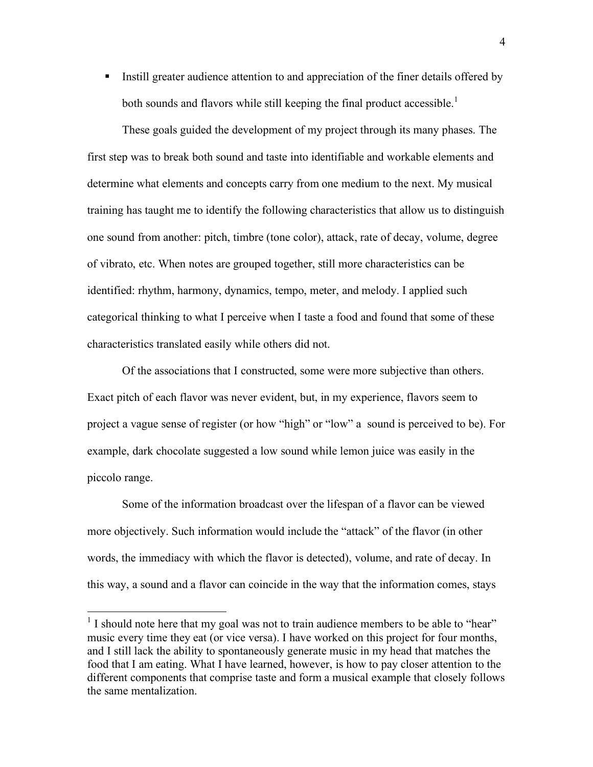Instill greater audience attention to and appreciation of the finer details offered by both sounds and flavors while still keeping the final product accessible.<sup>1</sup>

These goals guided the development of my project through its many phases. The first step was to break both sound and taste into identifiable and workable elements and determine what elements and concepts carry from one medium to the next. My musical training has taught me to identify the following characteristics that allow us to distinguish one sound from another: pitch, timbre (tone color), attack, rate of decay, volume, degree of vibrato, etc. When notes are grouped together, still more characteristics can be identified: rhythm, harmony, dynamics, tempo, meter, and melody. I applied such categorical thinking to what I perceive when I taste a food and found that some of these characteristics translated easily while others did not.

Of the associations that I constructed, some were more subjective than others. Exact pitch of each flavor was never evident, but, in my experience, flavors seem to project a vague sense of register (or how "high" or "low" a sound is perceived to be). For example, dark chocolate suggested a low sound while lemon juice was easily in the piccolo range.

Some of the information broadcast over the lifespan of a flavor can be viewed more objectively. Such information would include the "attack" of the flavor (in other words, the immediacy with which the flavor is detected), volume, and rate of decay. In this way, a sound and a flavor can coincide in the way that the information comes, stays

<sup>&</sup>lt;sup>1</sup> I should note here that my goal was not to train audience members to be able to "hear" music every time they eat (or vice versa). I have worked on this project for four months, and I still lack the ability to spontaneously generate music in my head that matches the food that I am eating. What I have learned, however, is how to pay closer attention to the different components that comprise taste and form a musical example that closely follows the same mentalization.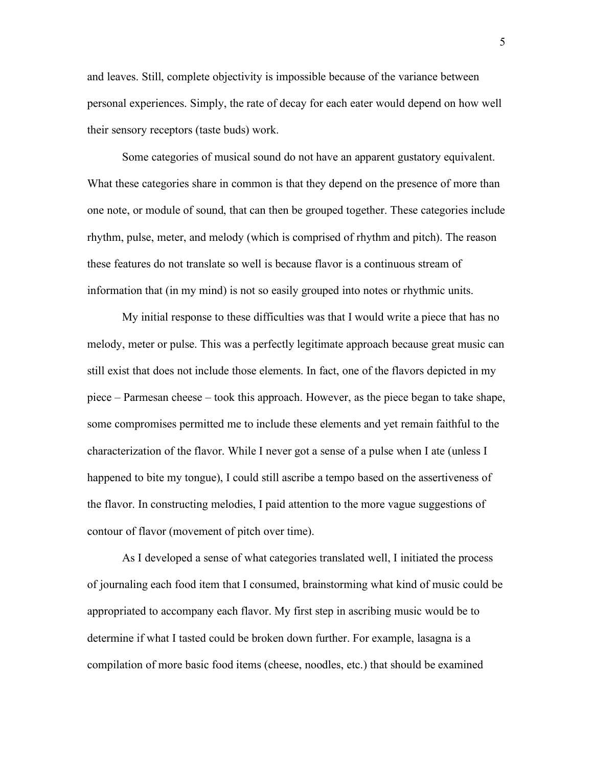and leaves. Still, complete objectivity is impossible because of the variance between personal experiences. Simply, the rate of decay for each eater would depend on how well their sensory receptors (taste buds) work.

Some categories of musical sound do not have an apparent gustatory equivalent. What these categories share in common is that they depend on the presence of more than one note, or module of sound, that can then be grouped together. These categories include rhythm, pulse, meter, and melody (which is comprised of rhythm and pitch). The reason these features do not translate so well is because flavor is a continuous stream of information that (in my mind) is not so easily grouped into notes or rhythmic units.

My initial response to these difficulties was that I would write a piece that has no melody, meter or pulse. This was a perfectly legitimate approach because great music can still exist that does not include those elements. In fact, one of the flavors depicted in my piece – Parmesan cheese – took this approach. However, as the piece began to take shape, some compromises permitted me to include these elements and yet remain faithful to the characterization of the flavor. While I never got a sense of a pulse when I ate (unless I happened to bite my tongue), I could still ascribe a tempo based on the assertiveness of the flavor. In constructing melodies, I paid attention to the more vague suggestions of contour of flavor (movement of pitch over time).

As I developed a sense of what categories translated well, I initiated the process of journaling each food item that I consumed, brainstorming what kind of music could be appropriated to accompany each flavor. My first step in ascribing music would be to determine if what I tasted could be broken down further. For example, lasagna is a compilation of more basic food items (cheese, noodles, etc.) that should be examined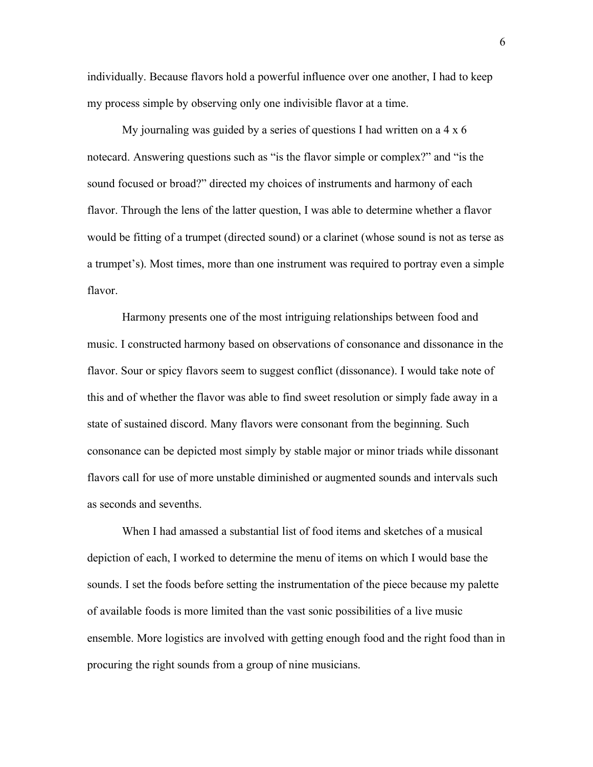individually. Because flavors hold a powerful influence over one another, I had to keep my process simple by observing only one indivisible flavor at a time.

My journaling was guided by a series of questions I had written on a 4 x 6 notecard. Answering questions such as "is the flavor simple or complex?" and "is the sound focused or broad?" directed my choices of instruments and harmony of each flavor. Through the lens of the latter question, I was able to determine whether a flavor would be fitting of a trumpet (directed sound) or a clarinet (whose sound is not as terse as a trumpet's). Most times, more than one instrument was required to portray even a simple flavor.

Harmony presents one of the most intriguing relationships between food and music. I constructed harmony based on observations of consonance and dissonance in the flavor. Sour or spicy flavors seem to suggest conflict (dissonance). I would take note of this and of whether the flavor was able to find sweet resolution or simply fade away in a state of sustained discord. Many flavors were consonant from the beginning. Such consonance can be depicted most simply by stable major or minor triads while dissonant flavors call for use of more unstable diminished or augmented sounds and intervals such as seconds and sevenths.

When I had amassed a substantial list of food items and sketches of a musical depiction of each, I worked to determine the menu of items on which I would base the sounds. I set the foods before setting the instrumentation of the piece because my palette of available foods is more limited than the vast sonic possibilities of a live music ensemble. More logistics are involved with getting enough food and the right food than in procuring the right sounds from a group of nine musicians.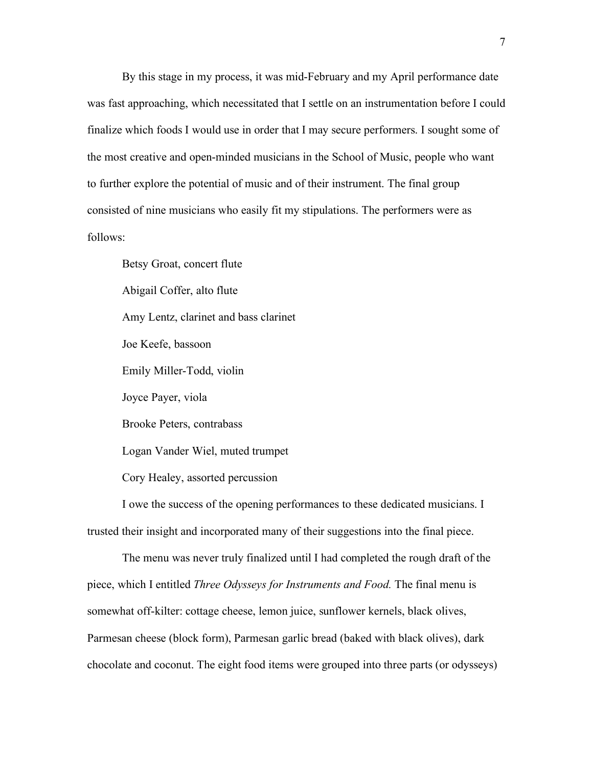By this stage in my process, it was mid-February and my April performance date was fast approaching, which necessitated that I settle on an instrumentation before I could finalize which foods I would use in order that I may secure performers. I sought some of the most creative and open-minded musicians in the School of Music, people who want to further explore the potential of music and of their instrument. The final group consisted of nine musicians who easily fit my stipulations. The performers were as follows:

Betsy Groat, concert flute Abigail Coffer, alto flute Amy Lentz, clarinet and bass clarinet Joe Keefe, bassoon Emily Miller-Todd, violin Joyce Payer, viola Brooke Peters, contrabass Logan Vander Wiel, muted trumpet Cory Healey, assorted percussion

I owe the success of the opening performances to these dedicated musicians. I trusted their insight and incorporated many of their suggestions into the final piece.

The menu was never truly finalized until I had completed the rough draft of the piece, which I entitled *Three Odysseys for Instruments and Food.* The final menu is somewhat off-kilter: cottage cheese, lemon juice, sunflower kernels, black olives, Parmesan cheese (block form), Parmesan garlic bread (baked with black olives), dark chocolate and coconut. The eight food items were grouped into three parts (or odysseys)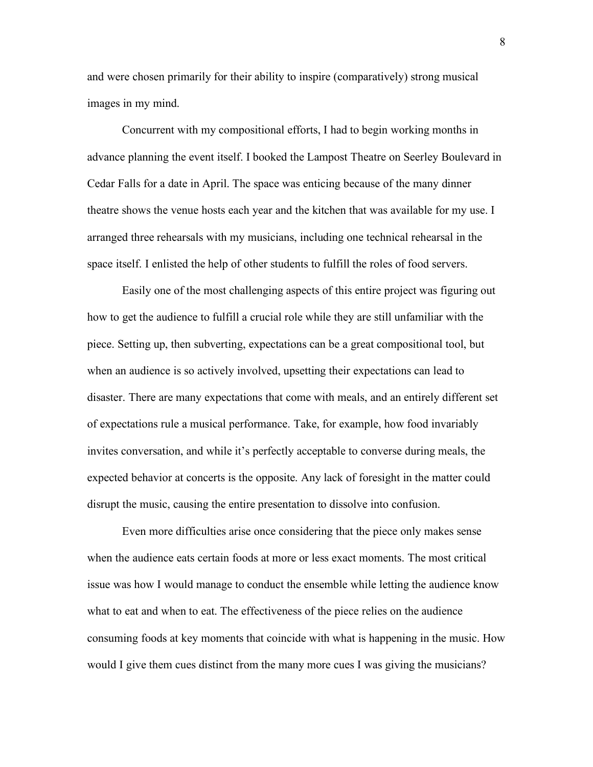and were chosen primarily for their ability to inspire (comparatively) strong musical images in my mind.

Concurrent with my compositional efforts, I had to begin working months in advance planning the event itself. I booked the Lampost Theatre on Seerley Boulevard in Cedar Falls for a date in April. The space was enticing because of the many dinner theatre shows the venue hosts each year and the kitchen that was available for my use. I arranged three rehearsals with my musicians, including one technical rehearsal in the space itself. I enlisted the help of other students to fulfill the roles of food servers.

Easily one of the most challenging aspects of this entire project was figuring out how to get the audience to fulfill a crucial role while they are still unfamiliar with the piece. Setting up, then subverting, expectations can be a great compositional tool, but when an audience is so actively involved, upsetting their expectations can lead to disaster. There are many expectations that come with meals, and an entirely different set of expectations rule a musical performance. Take, for example, how food invariably invites conversation, and while it's perfectly acceptable to converse during meals, the expected behavior at concerts is the opposite. Any lack of foresight in the matter could disrupt the music, causing the entire presentation to dissolve into confusion.

Even more difficulties arise once considering that the piece only makes sense when the audience eats certain foods at more or less exact moments. The most critical issue was how I would manage to conduct the ensemble while letting the audience know what to eat and when to eat. The effectiveness of the piece relies on the audience consuming foods at key moments that coincide with what is happening in the music. How would I give them cues distinct from the many more cues I was giving the musicians?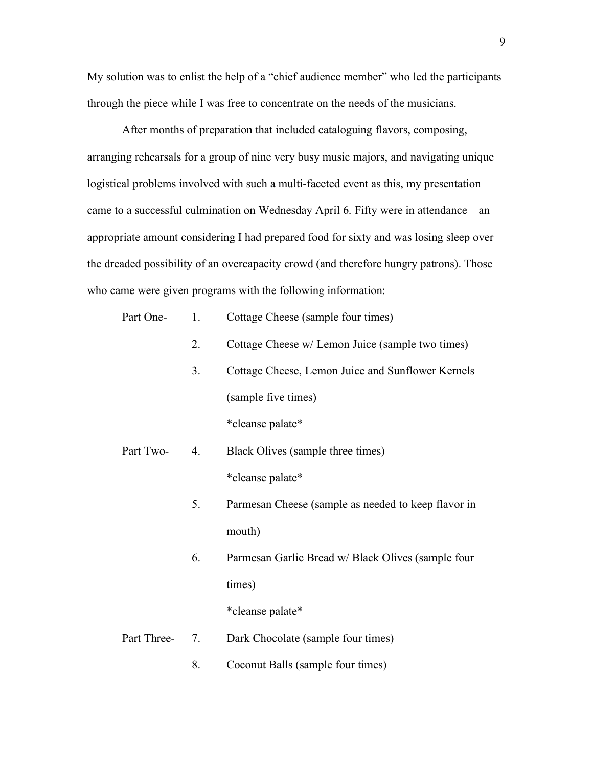My solution was to enlist the help of a "chief audience member" who led the participants through the piece while I was free to concentrate on the needs of the musicians.

After months of preparation that included cataloguing flavors, composing, arranging rehearsals for a group of nine very busy music majors, and navigating unique logistical problems involved with such a multi-faceted event as this, my presentation came to a successful culmination on Wednesday April 6. Fifty were in attendance – an appropriate amount considering I had prepared food for sixty and was losing sleep over the dreaded possibility of an overcapacity crowd (and therefore hungry patrons). Those who came were given programs with the following information:

| Part One-   | 1. | Cottage Cheese (sample four times)                  |
|-------------|----|-----------------------------------------------------|
|             | 2. | Cottage Cheese w/ Lemon Juice (sample two times)    |
|             | 3. | Cottage Cheese, Lemon Juice and Sunflower Kernels   |
|             |    | (sample five times)                                 |
|             |    | *cleanse palate*                                    |
| Part Two-   | 4. | Black Olives (sample three times)                   |
|             |    | *cleanse palate*                                    |
|             | 5. | Parmesan Cheese (sample as needed to keep flavor in |
|             |    | mouth)                                              |
|             | 6. | Parmesan Garlic Bread w/ Black Olives (sample four  |
|             |    | times)                                              |
|             |    | *cleanse palate*                                    |
| Part Three- | 7. | Dark Chocolate (sample four times)                  |
|             | 8. | Coconut Balls (sample four times)                   |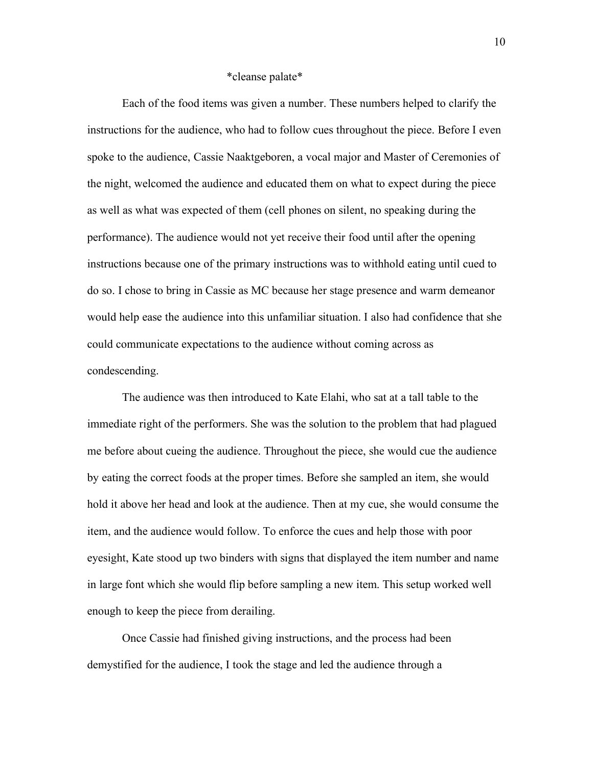## \*cleanse palate\*

Each of the food items was given a number. These numbers helped to clarify the instructions for the audience, who had to follow cues throughout the piece. Before I even spoke to the audience, Cassie Naaktgeboren, a vocal major and Master of Ceremonies of the night, welcomed the audience and educated them on what to expect during the piece as well as what was expected of them (cell phones on silent, no speaking during the performance). The audience would not yet receive their food until after the opening instructions because one of the primary instructions was to withhold eating until cued to do so. I chose to bring in Cassie as MC because her stage presence and warm demeanor would help ease the audience into this unfamiliar situation. I also had confidence that she could communicate expectations to the audience without coming across as condescending.

The audience was then introduced to Kate Elahi, who sat at a tall table to the immediate right of the performers. She was the solution to the problem that had plagued me before about cueing the audience. Throughout the piece, she would cue the audience by eating the correct foods at the proper times. Before she sampled an item, she would hold it above her head and look at the audience. Then at my cue, she would consume the item, and the audience would follow. To enforce the cues and help those with poor eyesight, Kate stood up two binders with signs that displayed the item number and name in large font which she would flip before sampling a new item. This setup worked well enough to keep the piece from derailing.

Once Cassie had finished giving instructions, and the process had been demystified for the audience, I took the stage and led the audience through a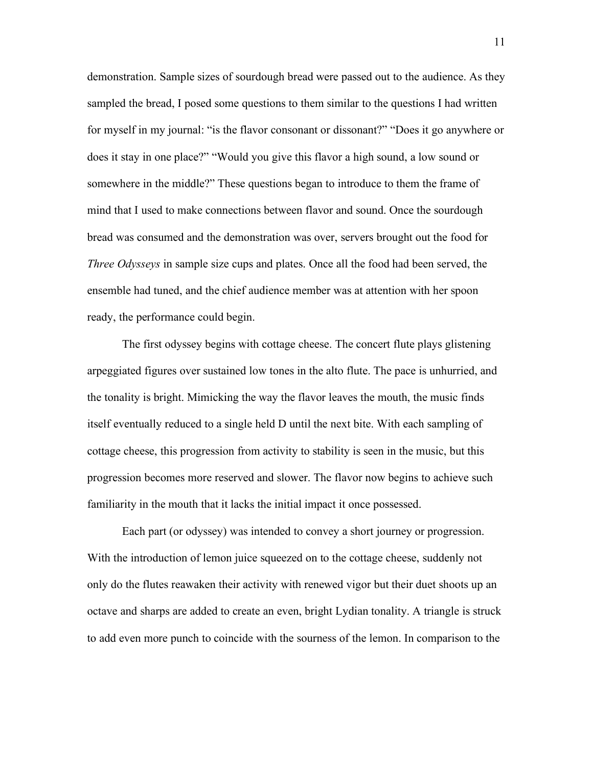demonstration. Sample sizes of sourdough bread were passed out to the audience. As they sampled the bread, I posed some questions to them similar to the questions I had written for myself in my journal: "is the flavor consonant or dissonant?" "Does it go anywhere or does it stay in one place?" "Would you give this flavor a high sound, a low sound or somewhere in the middle?" These questions began to introduce to them the frame of mind that I used to make connections between flavor and sound. Once the sourdough bread was consumed and the demonstration was over, servers brought out the food for *Three Odysseys* in sample size cups and plates. Once all the food had been served, the ensemble had tuned, and the chief audience member was at attention with her spoon ready, the performance could begin.

The first odyssey begins with cottage cheese. The concert flute plays glistening arpeggiated figures over sustained low tones in the alto flute. The pace is unhurried, and the tonality is bright. Mimicking the way the flavor leaves the mouth, the music finds itself eventually reduced to a single held D until the next bite. With each sampling of cottage cheese, this progression from activity to stability is seen in the music, but this progression becomes more reserved and slower. The flavor now begins to achieve such familiarity in the mouth that it lacks the initial impact it once possessed.

Each part (or odyssey) was intended to convey a short journey or progression. With the introduction of lemon juice squeezed on to the cottage cheese, suddenly not only do the flutes reawaken their activity with renewed vigor but their duet shoots up an octave and sharps are added to create an even, bright Lydian tonality. A triangle is struck to add even more punch to coincide with the sourness of the lemon. In comparison to the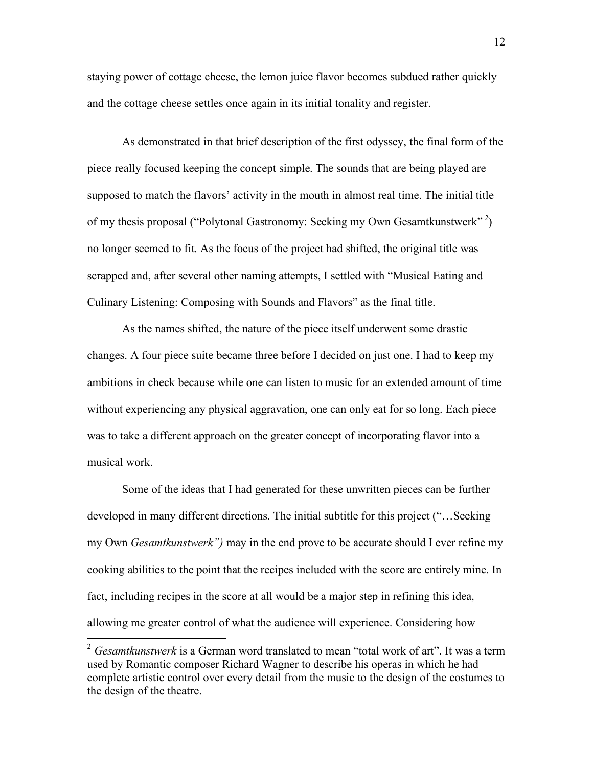staying power of cottage cheese, the lemon juice flavor becomes subdued rather quickly and the cottage cheese settles once again in its initial tonality and register.

As demonstrated in that brief description of the first odyssey, the final form of the piece really focused keeping the concept simple. The sounds that are being played are supposed to match the flavors' activity in the mouth in almost real time. The initial title of my thesis proposal ("Polytonal Gastronomy: Seeking my Own Gesamtkunstwerk" *<sup>2</sup>* ) no longer seemed to fit. As the focus of the project had shifted, the original title was scrapped and, after several other naming attempts, I settled with "Musical Eating and Culinary Listening: Composing with Sounds and Flavors" as the final title.

As the names shifted, the nature of the piece itself underwent some drastic changes. A four piece suite became three before I decided on just one. I had to keep my ambitions in check because while one can listen to music for an extended amount of time without experiencing any physical aggravation, one can only eat for so long. Each piece was to take a different approach on the greater concept of incorporating flavor into a musical work.

Some of the ideas that I had generated for these unwritten pieces can be further developed in many different directions. The initial subtitle for this project ("…Seeking my Own *Gesamtkunstwerk")* may in the end prove to be accurate should I ever refine my cooking abilities to the point that the recipes included with the score are entirely mine. In fact, including recipes in the score at all would be a major step in refining this idea, allowing me greater control of what the audience will experience. Considering how

 <sup>2</sup> *Gesamtkunstwerk* is a German word translated to mean "total work of art". It was a term used by Romantic composer Richard Wagner to describe his operas in which he had complete artistic control over every detail from the music to the design of the costumes to the design of the theatre.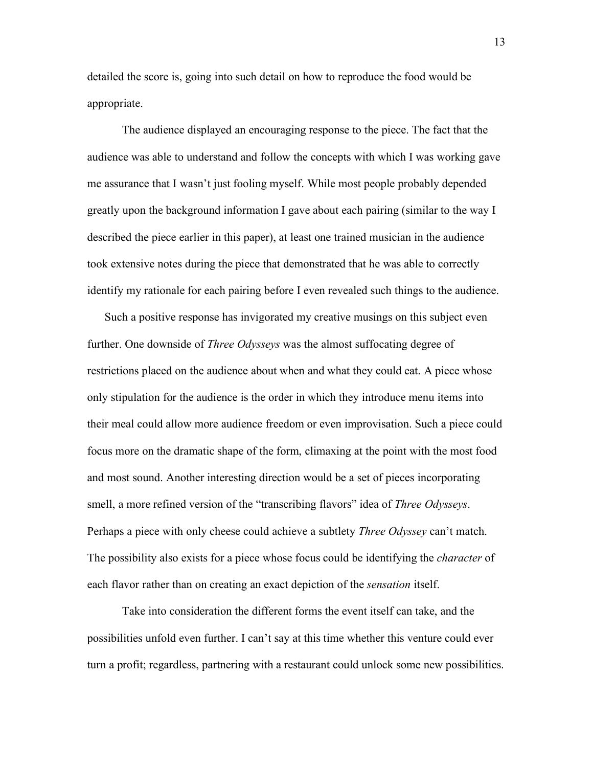detailed the score is, going into such detail on how to reproduce the food would be appropriate.

The audience displayed an encouraging response to the piece. The fact that the audience was able to understand and follow the concepts with which I was working gave me assurance that I wasn't just fooling myself. While most people probably depended greatly upon the background information I gave about each pairing (similar to the way I described the piece earlier in this paper), at least one trained musician in the audience took extensive notes during the piece that demonstrated that he was able to correctly identify my rationale for each pairing before I even revealed such things to the audience.

Such a positive response has invigorated my creative musings on this subject even further. One downside of *Three Odysseys* was the almost suffocating degree of restrictions placed on the audience about when and what they could eat. A piece whose only stipulation for the audience is the order in which they introduce menu items into their meal could allow more audience freedom or even improvisation. Such a piece could focus more on the dramatic shape of the form, climaxing at the point with the most food and most sound. Another interesting direction would be a set of pieces incorporating smell, a more refined version of the "transcribing flavors" idea of *Three Odysseys*. Perhaps a piece with only cheese could achieve a subtlety *Three Odyssey* can't match. The possibility also exists for a piece whose focus could be identifying the *character* of each flavor rather than on creating an exact depiction of the *sensation* itself.

Take into consideration the different forms the event itself can take, and the possibilities unfold even further. I can't say at this time whether this venture could ever turn a profit; regardless, partnering with a restaurant could unlock some new possibilities.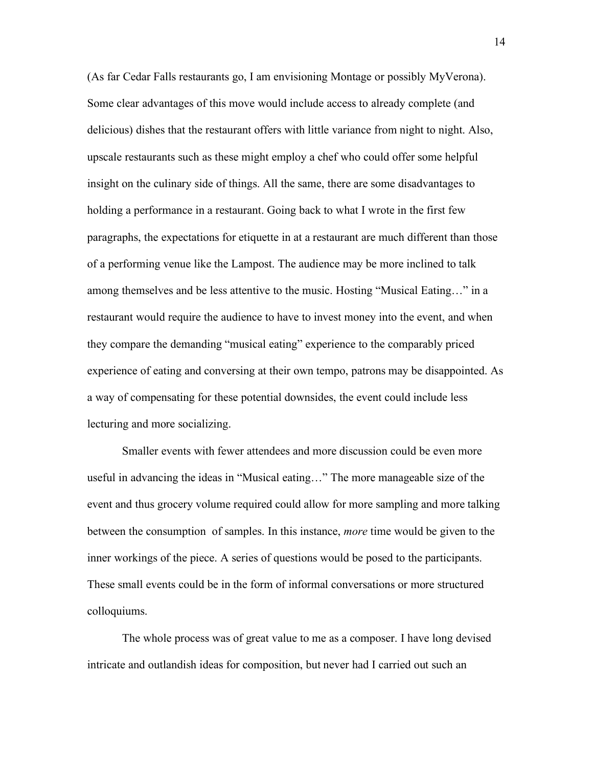(As far Cedar Falls restaurants go, I am envisioning Montage or possibly MyVerona). Some clear advantages of this move would include access to already complete (and delicious) dishes that the restaurant offers with little variance from night to night. Also, upscale restaurants such as these might employ a chef who could offer some helpful insight on the culinary side of things. All the same, there are some disadvantages to holding a performance in a restaurant. Going back to what I wrote in the first few paragraphs, the expectations for etiquette in at a restaurant are much different than those of a performing venue like the Lampost. The audience may be more inclined to talk among themselves and be less attentive to the music. Hosting "Musical Eating…" in a restaurant would require the audience to have to invest money into the event, and when they compare the demanding "musical eating" experience to the comparably priced experience of eating and conversing at their own tempo, patrons may be disappointed. As a way of compensating for these potential downsides, the event could include less lecturing and more socializing.

Smaller events with fewer attendees and more discussion could be even more useful in advancing the ideas in "Musical eating…" The more manageable size of the event and thus grocery volume required could allow for more sampling and more talking between the consumption of samples. In this instance, *more* time would be given to the inner workings of the piece. A series of questions would be posed to the participants. These small events could be in the form of informal conversations or more structured colloquiums.

The whole process was of great value to me as a composer. I have long devised intricate and outlandish ideas for composition, but never had I carried out such an